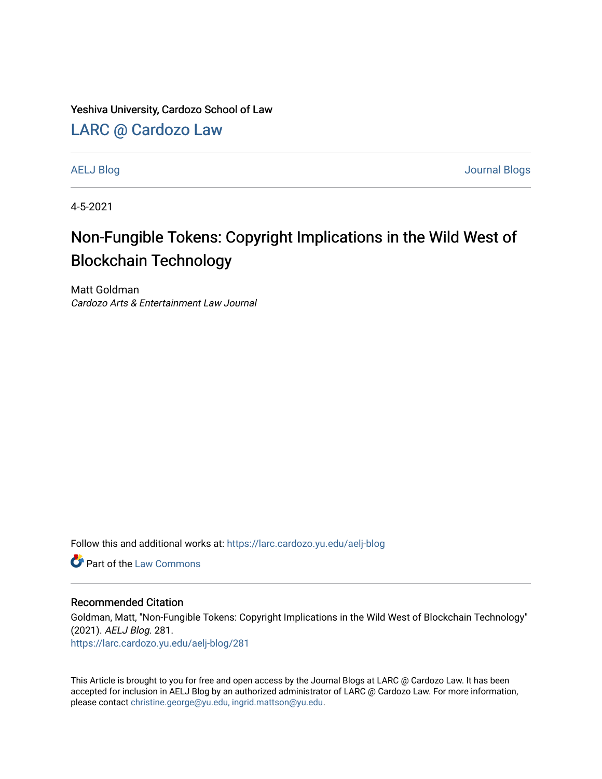Yeshiva University, Cardozo School of Law

[LARC @ Cardozo Law](https://larc.cardozo.yu.edu/)

[AELJ Blog](https://larc.cardozo.yu.edu/aelj-blog) [Journal Blogs](https://larc.cardozo.yu.edu/journal-blogs) 

4-5-2021

## Non-Fungible Tokens: Copyright Implications in the Wild West of Blockchain Technology

Matt Goldman Cardozo Arts & Entertainment Law Journal

Follow this and additional works at: [https://larc.cardozo.yu.edu/aelj-blog](https://larc.cardozo.yu.edu/aelj-blog?utm_source=larc.cardozo.yu.edu%2Faelj-blog%2F281&utm_medium=PDF&utm_campaign=PDFCoverPages) 

**C** Part of the [Law Commons](http://network.bepress.com/hgg/discipline/578?utm_source=larc.cardozo.yu.edu%2Faelj-blog%2F281&utm_medium=PDF&utm_campaign=PDFCoverPages)

## Recommended Citation

Goldman, Matt, "Non-Fungible Tokens: Copyright Implications in the Wild West of Blockchain Technology" (2021). AELJ Blog. 281. [https://larc.cardozo.yu.edu/aelj-blog/281](https://larc.cardozo.yu.edu/aelj-blog/281?utm_source=larc.cardozo.yu.edu%2Faelj-blog%2F281&utm_medium=PDF&utm_campaign=PDFCoverPages) 

This Article is brought to you for free and open access by the Journal Blogs at LARC @ Cardozo Law. It has been accepted for inclusion in AELJ Blog by an authorized administrator of LARC @ Cardozo Law. For more information, please contact [christine.george@yu.edu, ingrid.mattson@yu.edu.](mailto:christine.george@yu.edu,%20ingrid.mattson@yu.edu)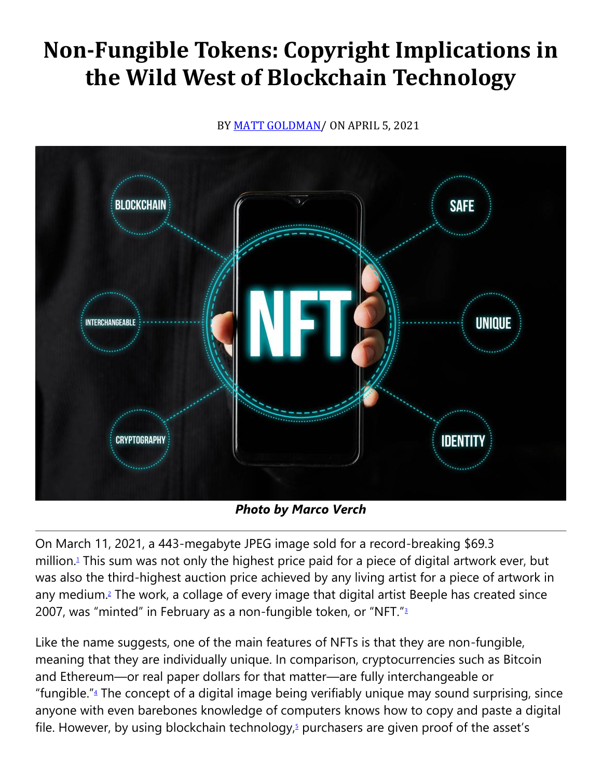## **Non-Fungible Tokens: Copyright Implications in the Wild West of Blockchain Technology**

BY [MATT GOLDMAN/](https://cardozoaelj.com/author/matt-goldman/) ON APRIL 5, 2021



*Photo by Marco Verch*

On March 11, 2021, a 443-megabyte JPEG image sold for a record-breaking \$69.3 million[.](https://cardozoaelj.com/2021/04/05/non-fungible-tokens-copyright-implications-in-the-wild-west-of-blockchain-technology/#easy-footnote-bottom-1-6866)<sup>1</sup> This sum was not only the highest price paid for a piece of digital artwork ever, but was also the third-highest auction price achieved by any living artist for a piece of artwork in any medium[.](https://cardozoaelj.com/2021/04/05/non-fungible-tokens-copyright-implications-in-the-wild-west-of-blockchain-technology/#easy-footnote-bottom-2-6866)<sup>2</sup> The work, a collage of every image that digital artist Beeple has created since 2007, was "minted" in February as a non-fungible token, or "NFT.["](https://cardozoaelj.com/2021/04/05/non-fungible-tokens-copyright-implications-in-the-wild-west-of-blockchain-technology/#easy-footnote-bottom-3-6866)<sup>3</sup>

Like the name suggests, one of the main features of NFTs is that they are non-fungible, meaning that they are individually unique. In comparison, cryptocurrencies such as Bitcoin and Ethereum—or real paper dollars for that matter—are fully interchangeable or ["](https://cardozoaelj.com/2021/04/05/non-fungible-tokens-copyright-implications-in-the-wild-west-of-blockchain-technology/#easy-footnote-bottom-4-6866)fungible." $4$  The concept of a digital image being verifiably unique may sound surprising, since anyone with even barebones knowledge of computers knows how to copy and paste a digital file. However[,](https://cardozoaelj.com/2021/04/05/non-fungible-tokens-copyright-implications-in-the-wild-west-of-blockchain-technology/#easy-footnote-bottom-5-6866) by using blockchain technology, $5$  purchasers are given proof of the asset's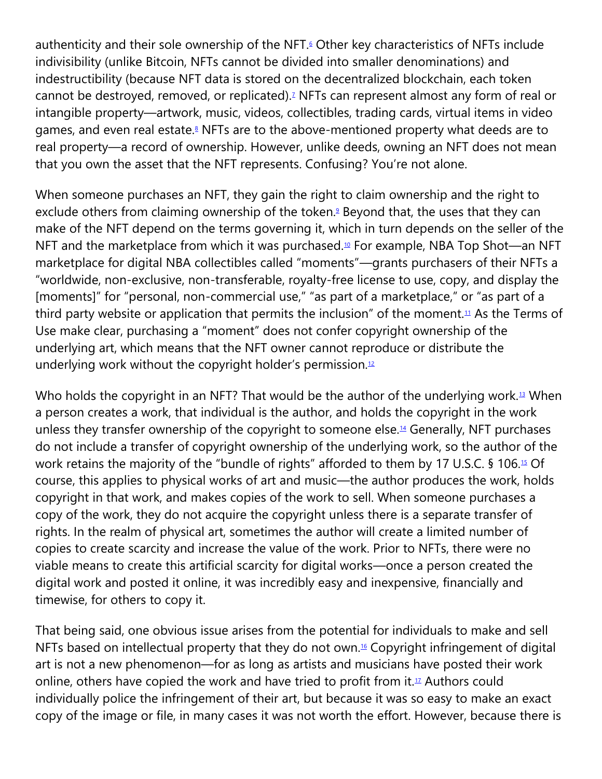authenticity and their sole ownership of the NFT[.](https://cardozoaelj.com/2021/04/05/non-fungible-tokens-copyright-implications-in-the-wild-west-of-blockchain-technology/#easy-footnote-bottom-6-6866)<sup>6</sup> Other key characteristics of NFTs include indivisibility (unlike Bitcoin, NFTs cannot be divided into smaller denominations) and indestructibility (because NFT data is stored on the decentralized blockchain, each token cannot be destroyed, removed, or replicated)[.](https://cardozoaelj.com/2021/04/05/non-fungible-tokens-copyright-implications-in-the-wild-west-of-blockchain-technology/#easy-footnote-bottom-7-6866)<sup>7</sup> NFTs can represent almost any form of real or intangible property—artwork, music, videos, collectibles, trading cards, virtual items in video games, and even real estate[.](https://cardozoaelj.com/2021/04/05/non-fungible-tokens-copyright-implications-in-the-wild-west-of-blockchain-technology/#easy-footnote-bottom-8-6866)<sup>8</sup> NFTs are to the above-mentioned property what deeds are to real property—a record of ownership. However, unlike deeds, owning an NFT does not mean that you own the asset that the NFT represents. Confusing? You're not alone.

When someone purchases an NFT, they gain the right to claim ownership and the right to exclude others from claiming ownership of the token[.](https://cardozoaelj.com/2021/04/05/non-fungible-tokens-copyright-implications-in-the-wild-west-of-blockchain-technology/#easy-footnote-bottom-9-6866)<sup>9</sup> Beyond that, the uses that they can make of the NFT depend on the terms governing it, which in turn depends on the seller of the NFT and the marketplace from which it was purchased.<sup>[10](https://cardozoaelj.com/2021/04/05/non-fungible-tokens-copyright-implications-in-the-wild-west-of-blockchain-technology/#easy-footnote-bottom-10-6866)</sup> For example, NBA Top Shot—an NFT marketplace for digital NBA collectibles called "moments"—grants purchasers of their NFTs a "worldwide, non-exclusive, non-transferable, royalty-free license to use, copy, and display the [moments]" for "personal, non-commercial use," "as part of a marketplace," or "as part of a third party website or application that permits the inclusion" of the moment.<sup>[11](https://cardozoaelj.com/2021/04/05/non-fungible-tokens-copyright-implications-in-the-wild-west-of-blockchain-technology/#easy-footnote-bottom-11-6866)</sup> As the Terms of Use make clear, purchasing a "moment" does not confer copyright ownership of the underlying art, which means that the NFT owner cannot reproduce or distribute the underlying work without the copyright holder's permission. $12$ 

Who holds the copyright in an NFT? That would be the author of the underlying work.<sup>[13](https://cardozoaelj.com/2021/04/05/non-fungible-tokens-copyright-implications-in-the-wild-west-of-blockchain-technology/#easy-footnote-bottom-13-6866)</sup> When a person creates a work, that individual is the author, and holds the copyright in the work unless they transfer ownership of the copyright to someone else.<sup>[14](https://cardozoaelj.com/2021/04/05/non-fungible-tokens-copyright-implications-in-the-wild-west-of-blockchain-technology/#easy-footnote-bottom-14-6866)</sup> Generally, NFT purchases do not include a transfer of copyright ownership of the underlying work, so the author of the work retains the majority of the "bundle of rights" afforded to them by 17 U.S.C. § 106.[15](https://cardozoaelj.com/2021/04/05/non-fungible-tokens-copyright-implications-in-the-wild-west-of-blockchain-technology/#easy-footnote-bottom-15-6866) Of course, this applies to physical works of art and music—the author produces the work, holds copyright in that work, and makes copies of the work to sell. When someone purchases a copy of the work, they do not acquire the copyright unless there is a separate transfer of rights. In the realm of physical art, sometimes the author will create a limited number of copies to create scarcity and increase the value of the work. Prior to NFTs, there were no viable means to create this artificial scarcity for digital works—once a person created the digital work and posted it online, it was incredibly easy and inexpensive, financially and timewise, for others to copy it.

That being said, one obvious issue arises from the potential for individuals to make and sell NFTs based on intellectual property that they do not own.<sup>[16](https://cardozoaelj.com/2021/04/05/non-fungible-tokens-copyright-implications-in-the-wild-west-of-blockchain-technology/#easy-footnote-bottom-16-6866)</sup> Copyright infringement of digital art is not a new phenomenon—for as long as artists and musicians have posted their work online, others have copied the work and have tried to profit from it. $1/2$  Authors could individually police the infringement of their art, but because it was so easy to make an exact copy of the image or file, in many cases it was not worth the effort. However, because there is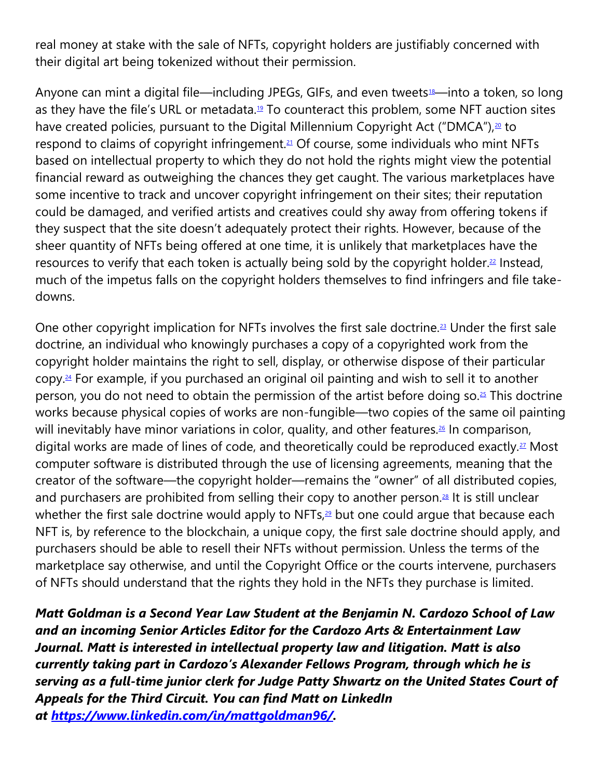real money at stake with the sale of NFTs, copyright holders are justifiably concerned with their digital art being tokenized without their permission.

Anyone can mint a digital file—including JPEGs, GIFs, and even tweets<sup>[18](https://cardozoaelj.com/2021/04/05/non-fungible-tokens-copyright-implications-in-the-wild-west-of-blockchain-technology/#easy-footnote-bottom-18-6866)</sup>—into a token, so long as they have the file's URL or metadata.<sup>[19](https://cardozoaelj.com/2021/04/05/non-fungible-tokens-copyright-implications-in-the-wild-west-of-blockchain-technology/#easy-footnote-bottom-19-6866)</sup> To counteract this problem, some NFT auction sites have created policies, pursuant to the Digital Millennium Copyright Act ("DMCA"),<sup>[20](https://cardozoaelj.com/2021/04/05/non-fungible-tokens-copyright-implications-in-the-wild-west-of-blockchain-technology/#easy-footnote-bottom-20-6866)</sup> to respond to claims of copyright infringement.<sup>[21](https://cardozoaelj.com/2021/04/05/non-fungible-tokens-copyright-implications-in-the-wild-west-of-blockchain-technology/#easy-footnote-bottom-21-6866)</sup> Of course, some individuals who mint NFTs based on intellectual property to which they do not hold the rights might view the potential financial reward as outweighing the chances they get caught. The various marketplaces have some incentive to track and uncover copyright infringement on their sites; their reputation could be damaged, and verified artists and creatives could shy away from offering tokens if they suspect that the site doesn't adequately protect their rights. However, because of the sheer quantity of NFTs being offered at one time, it is unlikely that marketplaces have the resources to verify that each token is actually being sold by the copyright holder.<sup>[22](https://cardozoaelj.com/2021/04/05/non-fungible-tokens-copyright-implications-in-the-wild-west-of-blockchain-technology/#easy-footnote-bottom-22-6866)</sup> Instead, much of the impetus falls on the copyright holders themselves to find infringers and file takedowns.

One other copyright implication for NFTs involves the first sale doctrine.<sup>[23](https://cardozoaelj.com/2021/04/05/non-fungible-tokens-copyright-implications-in-the-wild-west-of-blockchain-technology/#easy-footnote-bottom-23-6866)</sup> Under the first sale doctrine, an individual who knowingly purchases a copy of a copyrighted work from the copyright holder maintains the right to sell, display, or otherwise dispose of their particular copy. [24](https://cardozoaelj.com/2021/04/05/non-fungible-tokens-copyright-implications-in-the-wild-west-of-blockchain-technology/#easy-footnote-bottom-24-6866) For example, if you purchased an original oil painting and wish to sell it to another person, you do not need to obtain the permission of the artist before doing so.<sup>[25](https://cardozoaelj.com/2021/04/05/non-fungible-tokens-copyright-implications-in-the-wild-west-of-blockchain-technology/#easy-footnote-bottom-25-6866)</sup> This doctrine works because physical copies of works are non-fungible—two copies of the same oil painting will inevitably have minor variations in color, quality, and other features.<sup>[26](https://cardozoaelj.com/2021/04/05/non-fungible-tokens-copyright-implications-in-the-wild-west-of-blockchain-technology/#easy-footnote-bottom-26-6866)</sup> In comparison, digital works are made of lines of code, and theoretically could be reproduced exactly.<sup>[27](https://cardozoaelj.com/2021/04/05/non-fungible-tokens-copyright-implications-in-the-wild-west-of-blockchain-technology/#easy-footnote-bottom-27-6866)</sup> Most computer software is distributed through the use of licensing agreements, meaning that the creator of the software—the copyright holder—remains the "owner" of all distributed copies, and purchasers are prohibited from selling their copy to another person.<sup>[28](https://cardozoaelj.com/2021/04/05/non-fungible-tokens-copyright-implications-in-the-wild-west-of-blockchain-technology/#easy-footnote-bottom-28-6866)</sup> It is still unclear whether the first sale doctrine would apply to NFTs, $29$  but one could argue that because each NFT is, by reference to the blockchain, a unique copy, the first sale doctrine should apply, and purchasers should be able to resell their NFTs without permission. Unless the terms of the marketplace say otherwise, and until the Copyright Office or the courts intervene, purchasers of NFTs should understand that the rights they hold in the NFTs they purchase is limited.

*Matt Goldman is a Second Year Law Student at the Benjamin N. Cardozo School of Law and an incoming Senior Articles Editor for the Cardozo Arts & Entertainment Law Journal. Matt is interested in intellectual property law and litigation. Matt is also currently taking part in Cardozo's Alexander Fellows Program, through which he is serving as a full-time junior clerk for Judge Patty Shwartz on the United States Court of Appeals for the Third Circuit. You can find Matt on LinkedIn at [https://www.linkedin.com/in/mattgoldman96/.](https://www.linkedin.com/in/mattgoldman96/)*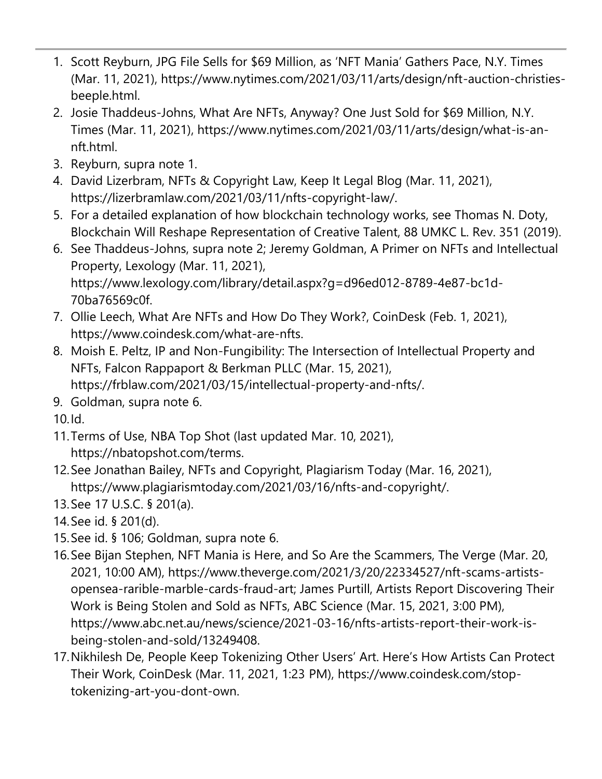- 1. Scott Reyburn, JPG File Sells for \$69 Million, as 'NFT Mania' Gathers Pace, N.Y. Times (Mar. 11, 2021), https://www.nytimes.com/2021/03/11/arts/design/nft-auction-christiesbeeple.html.
- 2. Josie Thaddeus-Johns, What Are NFTs, Anyway? One Just Sold for \$69 Million, N.Y. Times (Mar. 11, 2021), https://www.nytimes.com/2021/03/11/arts/design/what-is-annft.html.
- 3. Reyburn, supra note 1.
- 4. David Lizerbram, NFTs & Copyright Law, Keep It Legal Blog (Mar. 11, 2021), https://lizerbramlaw.com/2021/03/11/nfts-copyright-law/.
- 5. For a detailed explanation of how blockchain technology works, see Thomas N. Doty, Blockchain Will Reshape Representation of Creative Talent, 88 UMKC L. Rev. 351 (2019).
- 6. See Thaddeus-Johns, supra note 2; Jeremy Goldman, A Primer on NFTs and Intellectual Property, Lexology (Mar. 11, 2021), https://www.lexology.com/library/detail.aspx?g=d96ed012-8789-4e87-bc1d-70ba76569c0f.
- 7. Ollie Leech, What Are NFTs and How Do They Work?, CoinDesk (Feb. 1, 2021), https://www.coindesk.com/what-are-nfts.
- 8. Moish E. Peltz, IP and Non-Fungibility: The Intersection of Intellectual Property and NFTs, Falcon Rappaport & Berkman PLLC (Mar. 15, 2021), https://frblaw.com/2021/03/15/intellectual-property-and-nfts/.
- 9. Goldman, supra note 6.
- 10.Id.
- 11.Terms of Use, NBA Top Shot (last updated Mar. 10, 2021), https://nbatopshot.com/terms.
- 12.See Jonathan Bailey, NFTs and Copyright, Plagiarism Today (Mar. 16, 2021), https://www.plagiarismtoday.com/2021/03/16/nfts-and-copyright/.
- 13.See 17 U.S.C. § 201(a).
- 14.See id. § 201(d).
- 15.See id. § 106; Goldman, supra note 6.
- 16.See Bijan Stephen, NFT Mania is Here, and So Are the Scammers, The Verge (Mar. 20, 2021, 10:00 AM), https://www.theverge.com/2021/3/20/22334527/nft-scams-artistsopensea-rarible-marble-cards-fraud-art; James Purtill, Artists Report Discovering Their Work is Being Stolen and Sold as NFTs, ABC Science (Mar. 15, 2021, 3:00 PM), https://www.abc.net.au/news/science/2021-03-16/nfts-artists-report-their-work-isbeing-stolen-and-sold/13249408.
- 17.Nikhilesh De, People Keep Tokenizing Other Users' Art. Here's How Artists Can Protect Their Work, CoinDesk (Mar. 11, 2021, 1:23 PM), https://www.coindesk.com/stoptokenizing-art-you-dont-own.